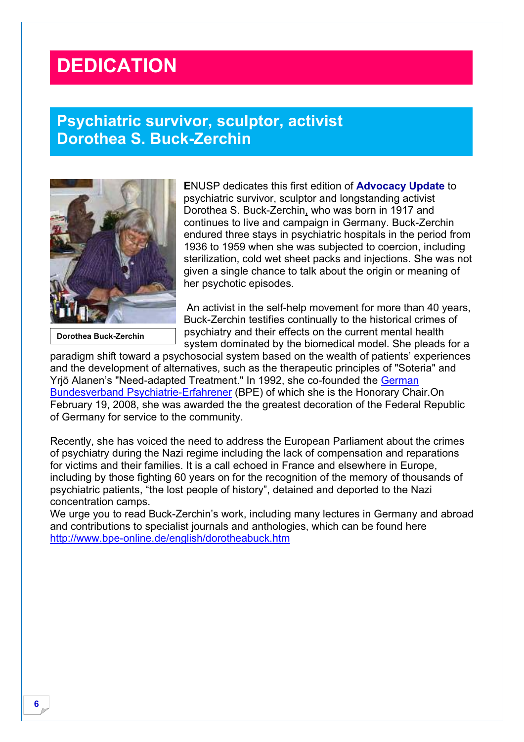## **DEDICATION**

## **Psychiatric survivor, sculptor, activist Dorothea S. Buck-Zerchin**



**Dorothea Buck-Zerchin** 

**E**NUSP dedicates this first edition of **Advocacy Update** to psychiatric survivor, sculptor and longstanding activist Dorothea S. Buck-Zerchin, who was born in 1917 and continues to live and campaign in Germany. Buck-Zerchin endured three stays in psychiatric hospitals in the period from 1936 to 1959 when she was subjected to coercion, including sterilization, cold wet sheet packs and injections. She was not given a single chance to talk about the origin or meaning of her psychotic episodes.

 An activist in the self-help movement for more than 40 years, Buck-Zerchin testifies continually to the historical crimes of psychiatry and their effects on the current mental health system dominated by the biomedical model. She pleads for a

paradigm shift toward a psychosocial system based on the wealth of patients' experiences and the development of alternatives, such as the therapeutic principles of "Soteria" and Yrjö Alanen's "Need-adapted Treatment." In 1992, she co-founded the German Bundesverband Psychiatrie-Erfahrener (BPE) of which she is the Honorary Chair.On February 19, 2008, she was awarded the the greatest decoration of the Federal Republic of Germany for service to the community.

Recently, she has voiced the need to address the European Parliament about the crimes of psychiatry during the Nazi regime including the lack of compensation and reparations for victims and their families. It is a call echoed in France and elsewhere in Europe, including by those fighting 60 years on for the recognition of the memory of thousands of psychiatric patients, "the lost people of history", detained and deported to the Nazi concentration camps.

We urge you to read Buck-Zerchin's work, including many lectures in Germany and abroad and contributions to specialist journals and anthologies, which can be found here http://www.bpe-online.de/english/dorotheabuck.htm